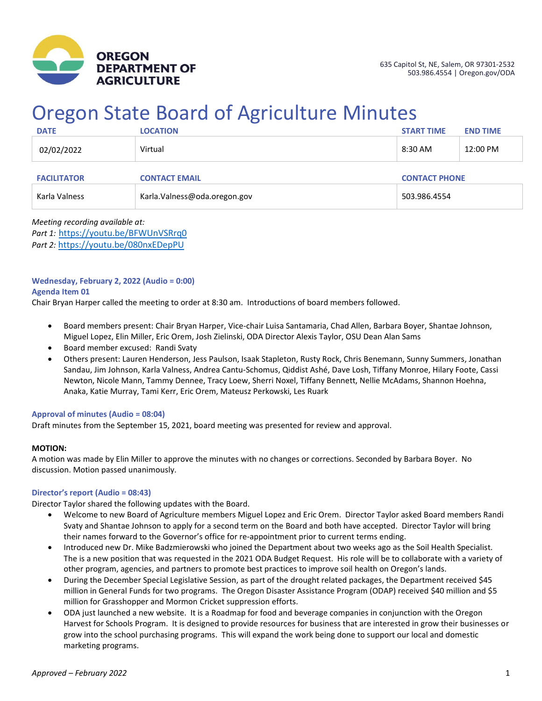

# Oregon State Board of Agriculture Minutes

| <b>DATE</b>        | <b>LOCATION</b>               | <b>START TIME</b> | <b>END TIME</b>      |  |
|--------------------|-------------------------------|-------------------|----------------------|--|
| 02/02/2022         | Virtual                       | 8:30 AM           | 12:00 PM             |  |
| <b>FACILITATOR</b> | <b>CONTACT EMAIL</b>          |                   | <b>CONTACT PHONE</b> |  |
| Karla Valness      | Karla. Valness@oda.oregon.gov | 503.986.4554      |                      |  |

*Meeting recording available at: Part 1:* <https://youtu.be/BFWUnVSRrq0> *Part 2:* <https://youtu.be/080nxEDepPU>

# **Wednesday, February 2, 2022 (Audio = 0:00)**

## **Agenda Item 01**

Chair Bryan Harper called the meeting to order at 8:30 am. Introductions of board members followed.

- Board members present: Chair Bryan Harper, Vice-chair Luisa Santamaria, Chad Allen, Barbara Boyer, Shantae Johnson, Miguel Lopez, Elin Miller, Eric Orem, Josh Zielinski, ODA Director Alexis Taylor, OSU Dean Alan Sams
- Board member excused: Randi Svaty
- Others present: Lauren Henderson, Jess Paulson, Isaak Stapleton, Rusty Rock, Chris Benemann, Sunny Summers, Jonathan Sandau, Jim Johnson, Karla Valness, Andrea Cantu-Schomus, Qiddist Ashé, Dave Losh, Tiffany Monroe, Hilary Foote, Cassi Newton, Nicole Mann, Tammy Dennee, Tracy Loew, Sherri Noxel, Tiffany Bennett, Nellie McAdams, Shannon Hoehna, Anaka, Katie Murray, Tami Kerr, Eric Orem, Mateusz Perkowski, Les Ruark

#### **Approval of minutes (Audio = 08:04)**

Draft minutes from the September 15, 2021, board meeting was presented for review and approval.

# **MOTION:**

A motion was made by Elin Miller to approve the minutes with no changes or corrections. Seconded by Barbara Boyer. No discussion. Motion passed unanimously.

#### **Director's report (Audio = 08:43)**

Director Taylor shared the following updates with the Board.

- Welcome to new Board of Agriculture members Miguel Lopez and Eric Orem. Director Taylor asked Board members Randi Svaty and Shantae Johnson to apply for a second term on the Board and both have accepted. Director Taylor will bring their names forward to the Governor's office for re-appointment prior to current terms ending.
- Introduced new Dr. Mike Badzmierowski who joined the Department about two weeks ago as the Soil Health Specialist. The is a new position that was requested in the 2021 ODA Budget Request. His role will be to collaborate with a variety of other program, agencies, and partners to promote best practices to improve soil health on Oregon's lands.
- During the December Special Legislative Session, as part of the drought related packages, the Department received \$45 million in General Funds for two programs. The Oregon Disaster Assistance Program (ODAP) received \$40 million and \$5 million for Grasshopper and Mormon Cricket suppression efforts.
- ODA just launched a new website. It is a Roadmap for food and beverage companies in conjunction with the Oregon Harvest for Schools Program. It is designed to provide resources for business that are interested in grow their businesses or grow into the school purchasing programs. This will expand the work being done to support our local and domestic marketing programs.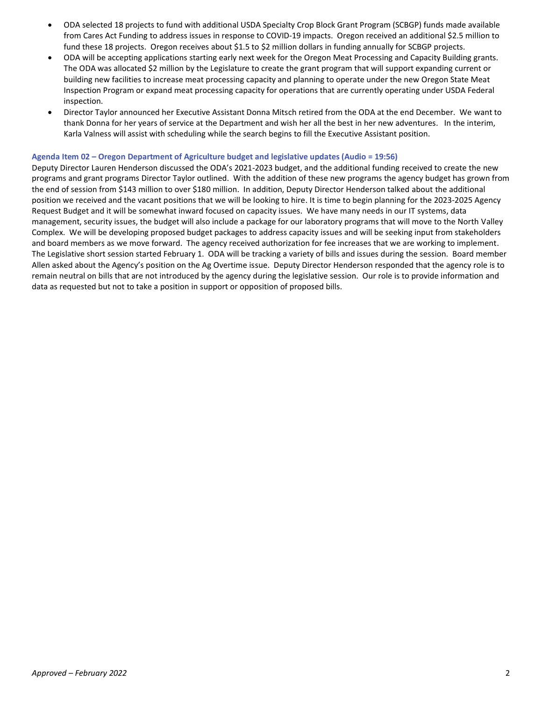- ODA selected 18 projects to fund with additional USDA Specialty Crop Block Grant Program (SCBGP) funds made available from Cares Act Funding to address issues in response to COVID-19 impacts. Oregon received an additional \$2.5 million to fund these 18 projects. Oregon receives about \$1.5 to \$2 million dollars in funding annually for SCBGP projects.
- ODA will be accepting applications starting early next week for the Oregon Meat Processing and Capacity Building grants. The ODA was allocated \$2 million by the Legislature to create the grant program that will support expanding current or building new facilities to increase meat processing capacity and planning to operate under the new Oregon State Meat Inspection Program or expand meat processing capacity for operations that are currently operating under USDA Federal inspection.
- Director Taylor announced her Executive Assistant Donna Mitsch retired from the ODA at the end December. We want to thank Donna for her years of service at the Department and wish her all the best in her new adventures. In the interim, Karla Valness will assist with scheduling while the search begins to fill the Executive Assistant position.

#### **Agenda Item 02 – Oregon Department of Agriculture budget and legislative updates (Audio = 19:56)**

Deputy Director Lauren Henderson discussed the ODA's 2021-2023 budget, and the additional funding received to create the new programs and grant programs Director Taylor outlined. With the addition of these new programs the agency budget has grown from the end of session from \$143 million to over \$180 million. In addition, Deputy Director Henderson talked about the additional position we received and the vacant positions that we will be looking to hire. It is time to begin planning for the 2023-2025 Agency Request Budget and it will be somewhat inward focused on capacity issues. We have many needs in our IT systems, data management, security issues, the budget will also include a package for our laboratory programs that will move to the North Valley Complex. We will be developing proposed budget packages to address capacity issues and will be seeking input from stakeholders and board members as we move forward. The agency received authorization for fee increases that we are working to implement. The Legislative short session started February 1. ODA will be tracking a variety of bills and issues during the session. Board member Allen asked about the Agency's position on the Ag Overtime issue. Deputy Director Henderson responded that the agency role is to remain neutral on bills that are not introduced by the agency during the legislative session. Our role is to provide information and data as requested but not to take a position in support or opposition of proposed bills.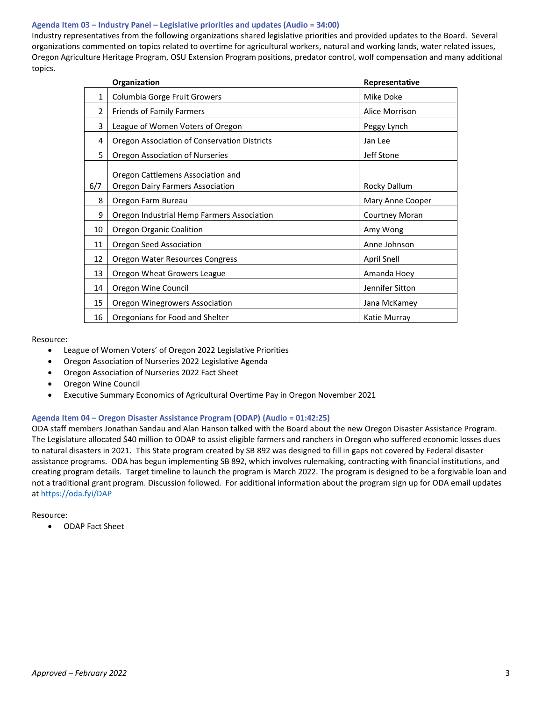# **Agenda Item 03 – Industry Panel – Legislative priorities and updates (Audio = 34:00)**

Industry representatives from the following organizations shared legislative priorities and provided updates to the Board. Several organizations commented on topics related to overtime for agricultural workers, natural and working lands, water related issues, Oregon Agriculture Heritage Program, OSU Extension Program positions, predator control, wolf compensation and many additional topics.

| Organization |                                                                              | Representative     |
|--------------|------------------------------------------------------------------------------|--------------------|
| 1            | Columbia Gorge Fruit Growers                                                 | Mike Doke          |
| 2            | Friends of Family Farmers                                                    | Alice Morrison     |
| 3            | League of Women Voters of Oregon                                             | Peggy Lynch        |
| 4            | Oregon Association of Conservation Districts                                 | Jan Lee            |
| 5            | Oregon Association of Nurseries                                              | Jeff Stone         |
| 6/7          | Oregon Cattlemens Association and<br><b>Oregon Dairy Farmers Association</b> | Rocky Dallum       |
| 8            | Oregon Farm Bureau                                                           | Mary Anne Cooper   |
| 9            | Oregon Industrial Hemp Farmers Association                                   | Courtney Moran     |
| 10           | Oregon Organic Coalition                                                     | Amy Wong           |
| 11           | Oregon Seed Association                                                      | Anne Johnson       |
| 12           | Oregon Water Resources Congress                                              | <b>April Snell</b> |
| 13           | Oregon Wheat Growers League                                                  | Amanda Hoey        |
| 14           | Oregon Wine Council                                                          | Jennifer Sitton    |
| 15           | Oregon Winegrowers Association                                               | Jana McKamey       |
| 16           | Oregonians for Food and Shelter                                              | Katie Murray       |

Resource:

- League of Women Voters' of Oregon 2022 Legislative Priorities
- Oregon Association of Nurseries 2022 Legislative Agenda
- Oregon Association of Nurseries 2022 Fact Sheet
- Oregon Wine Council
- Executive Summary Economics of Agricultural Overtime Pay in Oregon November 2021

# **Agenda Item 04 – Oregon Disaster Assistance Program (ODAP) (Audio = 01:42:25)**

ODA staff members Jonathan Sandau and Alan Hanson talked with the Board about the new Oregon Disaster Assistance Program. The Legislature allocated \$40 million to ODAP to assist eligible farmers and ranchers in Oregon who suffered economic losses dues to natural disasters in 2021. This State program created by SB 892 was designed to fill in gaps not covered by Federal disaster assistance programs. ODA has begun implementing SB 892, which involves rulemaking, contracting with financial institutions, and creating program details. Target timeline to launch the program is March 2022. The program is designed to be a forgivable loan and not a traditional grant program. Discussion followed. For additional information about the program sign up for ODA email updates a[t https://oda.fyi/DAP](https://oda.fyi/DAP)

Resource:

• ODAP Fact Sheet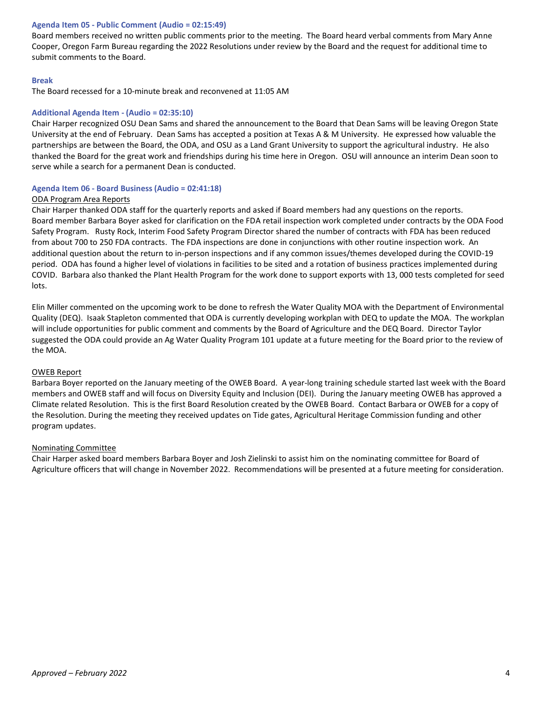## **Agenda Item 05 - Public Comment (Audio = 02:15:49)**

Board members received no written public comments prior to the meeting. The Board heard verbal comments from Mary Anne Cooper, Oregon Farm Bureau regarding the 2022 Resolutions under review by the Board and the request for additional time to submit comments to the Board.

## **Break**

The Board recessed for a 10-minute break and reconvened at 11:05 AM

## **Additional Agenda Item - (Audio = 02:35:10)**

Chair Harper recognized OSU Dean Sams and shared the announcement to the Board that Dean Sams will be leaving Oregon State University at the end of February. Dean Sams has accepted a position at Texas A & M University. He expressed how valuable the partnerships are between the Board, the ODA, and OSU as a Land Grant University to support the agricultural industry. He also thanked the Board for the great work and friendships during his time here in Oregon. OSU will announce an interim Dean soon to serve while a search for a permanent Dean is conducted.

#### **Agenda Item 06 - Board Business (Audio = 02:41:18)**

## ODA Program Area Reports

Chair Harper thanked ODA staff for the quarterly reports and asked if Board members had any questions on the reports. Board member Barbara Boyer asked for clarification on the FDA retail inspection work completed under contracts by the ODA Food Safety Program. Rusty Rock, Interim Food Safety Program Director shared the number of contracts with FDA has been reduced from about 700 to 250 FDA contracts. The FDA inspections are done in conjunctions with other routine inspection work. An additional question about the return to in-person inspections and if any common issues/themes developed during the COVID-19 period. ODA has found a higher level of violations in facilities to be sited and a rotation of business practices implemented during COVID. Barbara also thanked the Plant Health Program for the work done to support exports with 13, 000 tests completed for seed lots.

Elin Miller commented on the upcoming work to be done to refresh the Water Quality MOA with the Department of Environmental Quality (DEQ). Isaak Stapleton commented that ODA is currently developing workplan with DEQ to update the MOA. The workplan will include opportunities for public comment and comments by the Board of Agriculture and the DEQ Board. Director Taylor suggested the ODA could provide an Ag Water Quality Program 101 update at a future meeting for the Board prior to the review of the MOA.

#### OWEB Report

Barbara Boyer reported on the January meeting of the OWEB Board. A year-long training schedule started last week with the Board members and OWEB staff and will focus on Diversity Equity and Inclusion (DEI). During the January meeting OWEB has approved a Climate related Resolution. This is the first Board Resolution created by the OWEB Board. Contact Barbara or OWEB for a copy of the Resolution. During the meeting they received updates on Tide gates, Agricultural Heritage Commission funding and other program updates.

#### Nominating Committee

Chair Harper asked board members Barbara Boyer and Josh Zielinski to assist him on the nominating committee for Board of Agriculture officers that will change in November 2022. Recommendations will be presented at a future meeting for consideration.